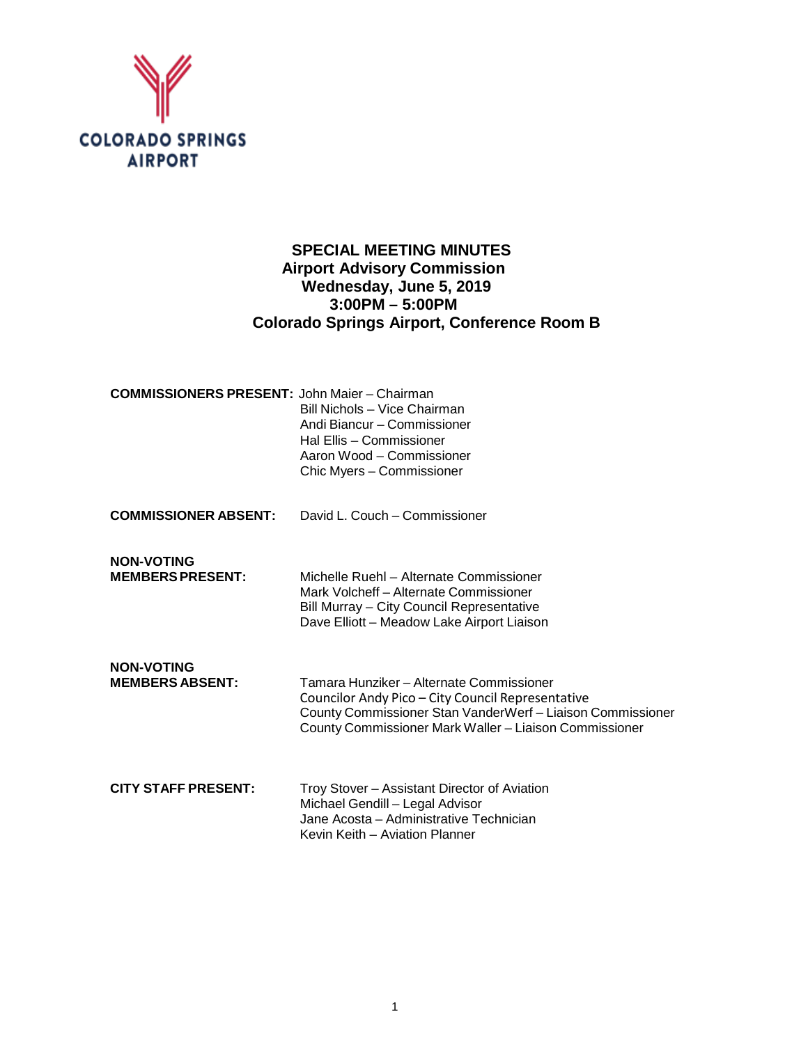

# **SPECIAL MEETING MINUTES Airport Advisory Commission Wednesday, June 5, 2019 3:00PM – 5:00PM Colorado Springs Airport, Conference Room B**

| <b>COMMISSIONERS PRESENT: John Maier – Chairman</b> | Bill Nichols - Vice Chairman<br>Andi Biancur - Commissioner<br>Hal Ellis - Commissioner<br>Aaron Wood - Commissioner<br>Chic Myers - Commissioner                                                                     |
|-----------------------------------------------------|-----------------------------------------------------------------------------------------------------------------------------------------------------------------------------------------------------------------------|
| <b>COMMISSIONER ABSENT:</b>                         | David L. Couch - Commissioner                                                                                                                                                                                         |
| <b>NON-VOTING</b><br><b>MEMBERS PRESENT:</b>        | Michelle Ruehl - Alternate Commissioner<br>Mark Volcheff - Alternate Commissioner<br>Bill Murray - City Council Representative<br>Dave Elliott - Meadow Lake Airport Liaison                                          |
| <b>NON-VOTING</b><br><b>MEMBERS ABSENT:</b>         | Tamara Hunziker - Alternate Commissioner<br>Councilor Andy Pico - City Council Representative<br>County Commissioner Stan VanderWerf - Liaison Commissioner<br>County Commissioner Mark Waller - Liaison Commissioner |
| <b>CITY STAFF PRESENT:</b>                          | Troy Stover - Assistant Director of Aviation<br>Michael Gendill - Legal Advisor<br>Jane Acosta - Administrative Technician<br>Kevin Keith - Aviation Planner                                                          |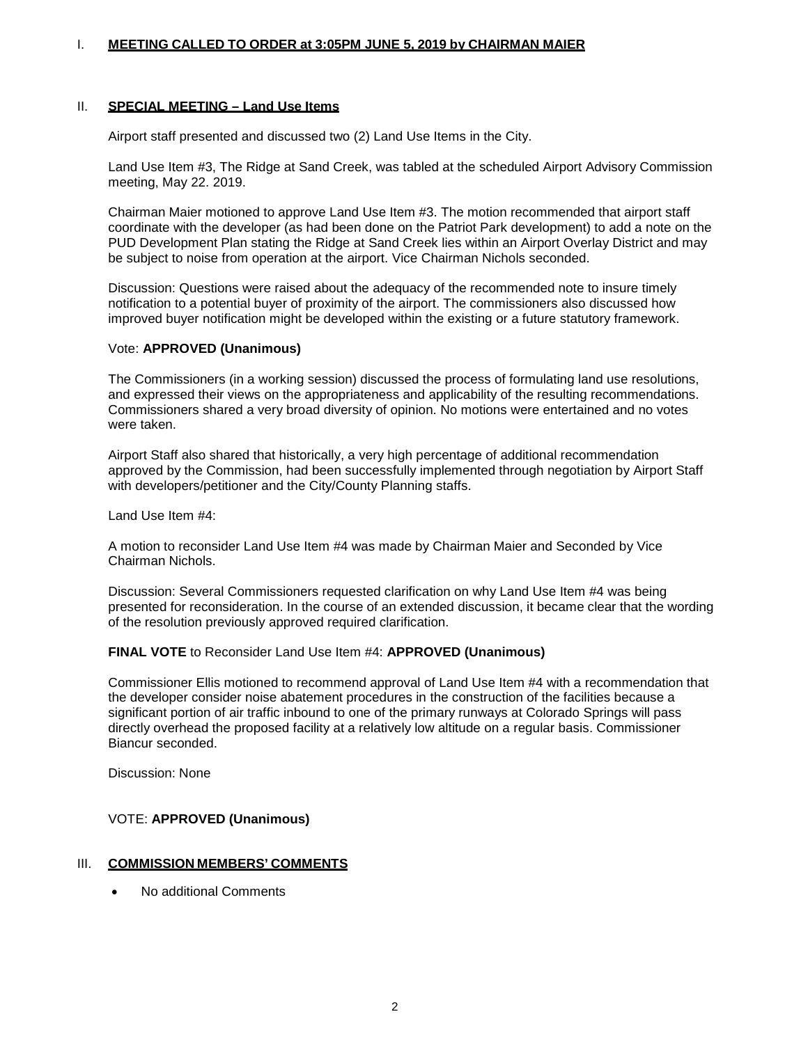#### I. **MEETING CALLED TO ORDER at 3:05PM JUNE 5, 2019 by CHAIRMAN MAIER**

#### II. **SPECIAL MEETING – Land Use Items**

Airport staff presented and discussed two (2) Land Use Items in the City.

Land Use Item #3, The Ridge at Sand Creek, was tabled at the scheduled Airport Advisory Commission meeting, May 22. 2019.

Chairman Maier motioned to approve Land Use Item #3. The motion recommended that airport staff coordinate with the developer (as had been done on the Patriot Park development) to add a note on the PUD Development Plan stating the Ridge at Sand Creek lies within an Airport Overlay District and may be subject to noise from operation at the airport. Vice Chairman Nichols seconded.

Discussion: Questions were raised about the adequacy of the recommended note to insure timely notification to a potential buyer of proximity of the airport. The commissioners also discussed how improved buyer notification might be developed within the existing or a future statutory framework.

#### Vote: **APPROVED (Unanimous)**

The Commissioners (in a working session) discussed the process of formulating land use resolutions, and expressed their views on the appropriateness and applicability of the resulting recommendations. Commissioners shared a very broad diversity of opinion. No motions were entertained and no votes were taken.

Airport Staff also shared that historically, a very high percentage of additional recommendation approved by the Commission, had been successfully implemented through negotiation by Airport Staff with developers/petitioner and the City/County Planning staffs.

Land Use Item #4:

A motion to reconsider Land Use Item #4 was made by Chairman Maier and Seconded by Vice Chairman Nichols.

Discussion: Several Commissioners requested clarification on why Land Use Item #4 was being presented for reconsideration. In the course of an extended discussion, it became clear that the wording of the resolution previously approved required clarification.

## **FINAL VOTE** to Reconsider Land Use Item #4: **APPROVED (Unanimous)**

Commissioner Ellis motioned to recommend approval of Land Use Item #4 with a recommendation that the developer consider noise abatement procedures in the construction of the facilities because a significant portion of air traffic inbound to one of the primary runways at Colorado Springs will pass directly overhead the proposed facility at a relatively low altitude on a regular basis. Commissioner Biancur seconded.

Discussion: None

## VOTE: **APPROVED (Unanimous)**

## III. **COMMISSION MEMBERS' COMMENTS**

• No additional Comments